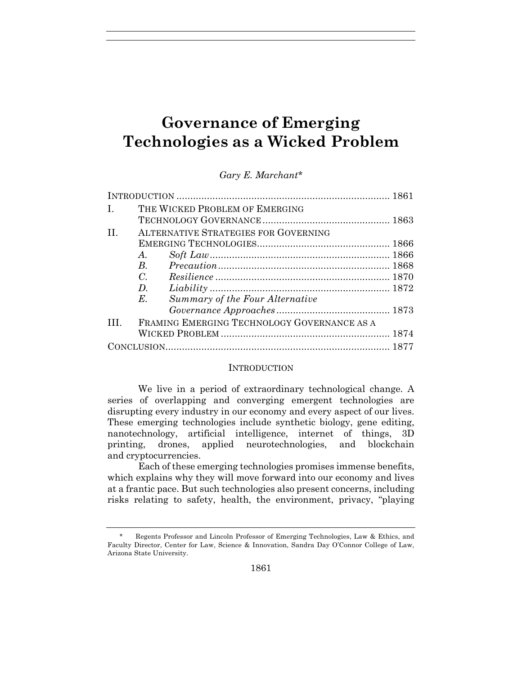# **Governance of Emerging Technologies as a Wicked Problem**

| L.           | THE WICKED PROBLEM OF EMERGING              |  |
|--------------|---------------------------------------------|--|
|              |                                             |  |
| $\mathbf{H}$ | <b>ALTERNATIVE STRATEGIES FOR GOVERNING</b> |  |
|              |                                             |  |
|              | A.                                          |  |
|              | $B_{\cdot}$                                 |  |
|              | $C_{\cdot}$                                 |  |
|              | $D_{\cdot}$                                 |  |
|              | Summary of the Four Alternative<br>E.       |  |
|              |                                             |  |
| III.         | FRAMING EMERGING TECHNOLOGY GOVERNANCE AS A |  |
|              |                                             |  |
|              |                                             |  |

## *Gary E. Marchant\**

#### **INTRODUCTION**

We live in a period of extraordinary technological change. A series of overlapping and converging emergent technologies are disrupting every industry in our economy and every aspect of our lives. These emerging technologies include synthetic biology, gene editing, nanotechnology, artificial intelligence, internet of things, 3D printing, drones, applied neurotechnologies, and blockchain and cryptocurrencies.

Each of these emerging technologies promises immense benefits, which explains why they will move forward into our economy and lives at a frantic pace. But such technologies also present concerns, including risks relating to safety, health, the environment, privacy, "playing

<sup>\*</sup> Regents Professor and Lincoln Professor of Emerging Technologies, Law & Ethics, and Faculty Director, Center for Law, Science & Innovation, Sandra Day O'Connor College of Law, Arizona State University.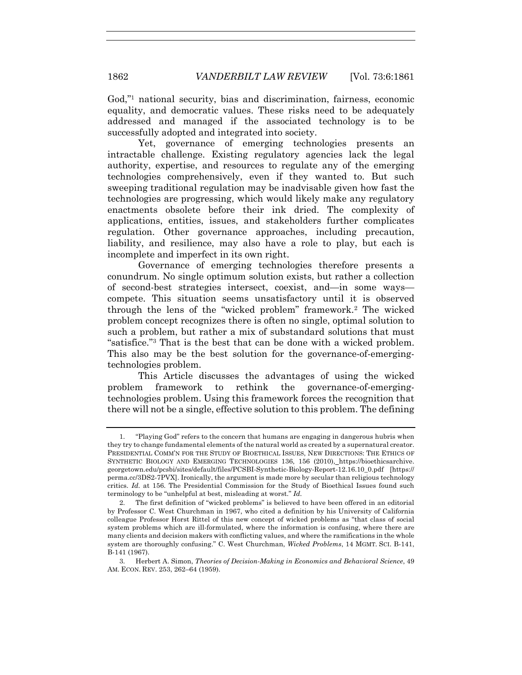God,"1 national security, bias and discrimination, fairness, economic equality, and democratic values. These risks need to be adequately addressed and managed if the associated technology is to be successfully adopted and integrated into society.

Yet, governance of emerging technologies presents an intractable challenge. Existing regulatory agencies lack the legal authority, expertise, and resources to regulate any of the emerging technologies comprehensively, even if they wanted to. But such sweeping traditional regulation may be inadvisable given how fast the technologies are progressing, which would likely make any regulatory enactments obsolete before their ink dried. The complexity of applications, entities, issues, and stakeholders further complicates regulation. Other governance approaches, including precaution, liability, and resilience, may also have a role to play, but each is incomplete and imperfect in its own right.

Governance of emerging technologies therefore presents a conundrum. No single optimum solution exists, but rather a collection of second-best strategies intersect, coexist, and—in some ways compete. This situation seems unsatisfactory until it is observed through the lens of the "wicked problem" framework.2 The wicked problem concept recognizes there is often no single, optimal solution to such a problem, but rather a mix of substandard solutions that must "satisfice."3 That is the best that can be done with a wicked problem. This also may be the best solution for the governance-of-emergingtechnologies problem.

This Article discusses the advantages of using the wicked problem framework to rethink the governance-of-emergingtechnologies problem. Using this framework forces the recognition that there will not be a single, effective solution to this problem. The defining

<sup>1.</sup> "Playing God" refers to the concern that humans are engaging in dangerous hubris when they try to change fundamental elements of the natural world as created by a supernatural creator. PRESIDENTIAL COMM'N FOR THE STUDY OF BIOETHICAL ISSUES, NEW DIRECTIONS: THE ETHICS OF SYNTHETIC BIOLOGY AND EMERGING TECHNOLOGIES 136, 156 (2010), https://bioethicsarchive. georgetown.edu/pcsbi/sites/default/files/PCSBI-Synthetic-Biology-Report-12.16.10\_0.pdf [https:// perma.cc/3DS2-7PVX]. Ironically, the argument is made more by secular than religious technology critics. *Id.* at 156. The Presidential Commission for the Study of Bioethical Issues found such terminology to be "unhelpful at best, misleading at worst." *Id.*

<sup>2.</sup> The first definition of "wicked problems" is believed to have been offered in an editorial by Professor C. West Churchman in 1967, who cited a definition by his University of California colleague Professor Horst Rittel of this new concept of wicked problems as "that class of social system problems which are ill-formulated, where the information is confusing, where there are many clients and decision makers with conflicting values, and where the ramifications in the whole system are thoroughly confusing." C. West Churchman, *Wicked Problems*, 14 MGMT. SCI. B-141, B-141 (1967).

<sup>3.</sup> Herbert A. Simon, *Theories of Decision-Making in Economics and Behavioral Science*, 49 AM. ECON. REV. 253, 262–64 (1959).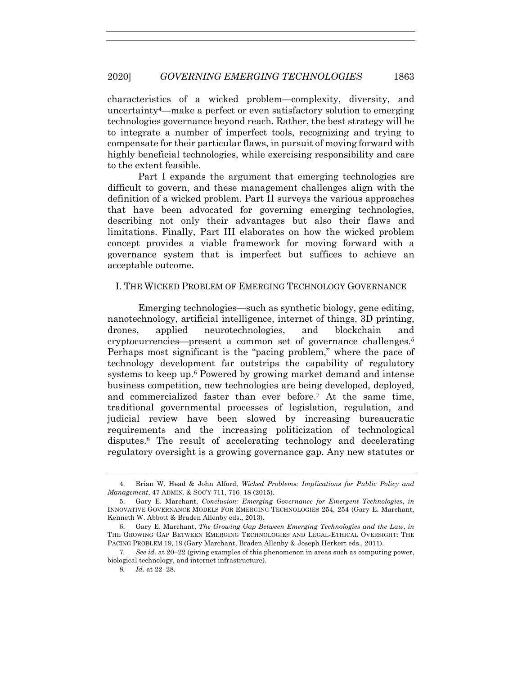characteristics of a wicked problem—complexity, diversity, and uncertainty4—make a perfect or even satisfactory solution to emerging technologies governance beyond reach. Rather, the best strategy will be to integrate a number of imperfect tools, recognizing and trying to compensate for their particular flaws, in pursuit of moving forward with highly beneficial technologies, while exercising responsibility and care to the extent feasible.

Part I expands the argument that emerging technologies are difficult to govern, and these management challenges align with the definition of a wicked problem. Part II surveys the various approaches that have been advocated for governing emerging technologies, describing not only their advantages but also their flaws and limitations. Finally, Part III elaborates on how the wicked problem concept provides a viable framework for moving forward with a governance system that is imperfect but suffices to achieve an acceptable outcome.

## I. THE WICKED PROBLEM OF EMERGING TECHNOLOGY GOVERNANCE

Emerging technologies—such as synthetic biology, gene editing, nanotechnology, artificial intelligence, internet of things, 3D printing, drones, applied neurotechnologies, and blockchain and cryptocurrencies—present a common set of governance challenges.5 Perhaps most significant is the "pacing problem," where the pace of technology development far outstrips the capability of regulatory systems to keep up.6 Powered by growing market demand and intense business competition, new technologies are being developed, deployed, and commercialized faster than ever before.7 At the same time, traditional governmental processes of legislation, regulation, and judicial review have been slowed by increasing bureaucratic requirements and the increasing politicization of technological disputes.8 The result of accelerating technology and decelerating regulatory oversight is a growing governance gap. Any new statutes or

<sup>4.</sup> Brian W. Head & John Alford, *Wicked Problems: Implications for Public Policy and Management*, 47 ADMIN. & SOC'Y 711, 716–18 (2015).

<sup>5.</sup> Gary E. Marchant, *Conclusion: Emerging Governance for Emergent Technologies*, *in* INNOVATIVE GOVERNANCE MODELS FOR EMERGING TECHNOLOGIES 254, 254 (Gary E. Marchant, Kenneth W. Abbott & Braden Allenby eds., 2013).

<sup>6.</sup> Gary E. Marchant, *The Growing Gap Between Emerging Technologies and the Law*, *in* THE GROWING GAP BETWEEN EMERGING TECHNOLOGIES AND LEGAL-ETHICAL OVERSIGHT: THE PACING PROBLEM 19, 19 (Gary Marchant, Braden Allenby & Joseph Herkert eds., 2011).

<sup>7</sup>*. See id.* at 20–22 (giving examples of this phenomenon in areas such as computing power, biological technology, and internet infrastructure).

<sup>8</sup>*. Id.* at 22–28.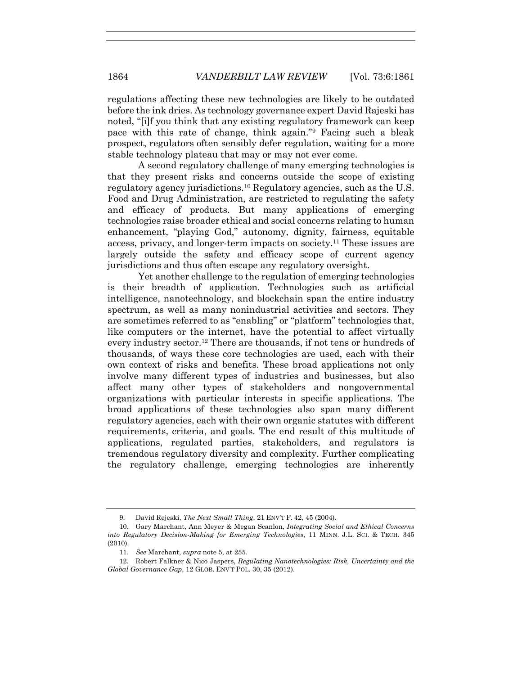regulations affecting these new technologies are likely to be outdated before the ink dries. As technology governance expert David Rajeski has noted, "[i]f you think that any existing regulatory framework can keep pace with this rate of change, think again."9 Facing such a bleak prospect, regulators often sensibly defer regulation, waiting for a more stable technology plateau that may or may not ever come.

A second regulatory challenge of many emerging technologies is that they present risks and concerns outside the scope of existing regulatory agency jurisdictions.<sup>10</sup> Regulatory agencies, such as the U.S. Food and Drug Administration, are restricted to regulating the safety and efficacy of products. But many applications of emerging technologies raise broader ethical and social concerns relating to human enhancement, "playing God," autonomy, dignity, fairness, equitable access, privacy, and longer-term impacts on society.11 These issues are largely outside the safety and efficacy scope of current agency jurisdictions and thus often escape any regulatory oversight.

Yet another challenge to the regulation of emerging technologies is their breadth of application. Technologies such as artificial intelligence, nanotechnology, and blockchain span the entire industry spectrum, as well as many nonindustrial activities and sectors. They are sometimes referred to as "enabling" or "platform" technologies that, like computers or the internet, have the potential to affect virtually every industry sector.12 There are thousands, if not tens or hundreds of thousands, of ways these core technologies are used, each with their own context of risks and benefits. These broad applications not only involve many different types of industries and businesses, but also affect many other types of stakeholders and nongovernmental organizations with particular interests in specific applications. The broad applications of these technologies also span many different regulatory agencies, each with their own organic statutes with different requirements, criteria, and goals. The end result of this multitude of applications, regulated parties, stakeholders, and regulators is tremendous regulatory diversity and complexity. Further complicating the regulatory challenge, emerging technologies are inherently

<sup>9.</sup> David Rejeski, *The Next Small Thing*, 21 ENV'T F. 42, 45 (2004).

<sup>10.</sup> Gary Marchant, Ann Meyer & Megan Scanlon, *Integrating Social and Ethical Concerns into Regulatory Decision-Making for Emerging Technologies*, 11 MINN. J.L. SCI. & TECH. 345 (2010).

<sup>11.</sup> *See* Marchant, *supra* note 5, at 255.

<sup>12.</sup> Robert Falkner & Nico Jaspers, *Regulating Nanotechnologies: Risk, Uncertainty and the Global Governance Gap*, 12 GLOB. ENV'T POL. 30, 35 (2012).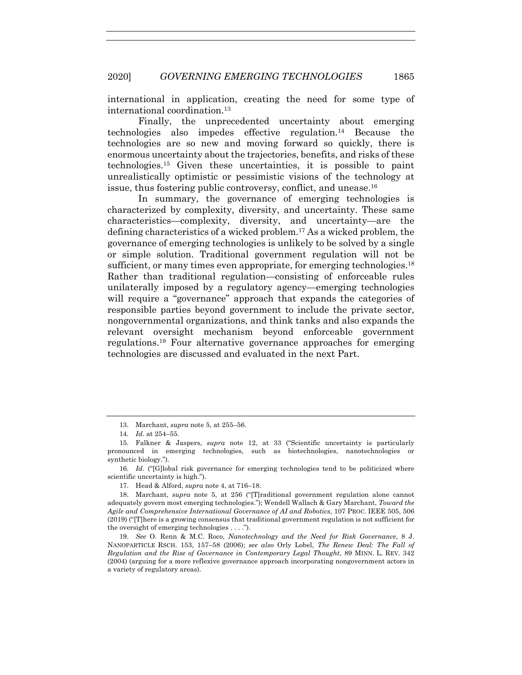international in application, creating the need for some type of international coordination.13

Finally, the unprecedented uncertainty about emerging technologies also impedes effective regulation.14 Because the technologies are so new and moving forward so quickly, there is enormous uncertainty about the trajectories, benefits, and risks of these technologies.15 Given these uncertainties, it is possible to paint unrealistically optimistic or pessimistic visions of the technology at issue, thus fostering public controversy, conflict, and unease.16

In summary, the governance of emerging technologies is characterized by complexity, diversity, and uncertainty. These same characteristics—complexity, diversity, and uncertainty—are the defining characteristics of a wicked problem.17 As a wicked problem, the governance of emerging technologies is unlikely to be solved by a single or simple solution. Traditional government regulation will not be sufficient, or many times even appropriate, for emerging technologies.<sup>18</sup> Rather than traditional regulation—consisting of enforceable rules unilaterally imposed by a regulatory agency—emerging technologies will require a "governance" approach that expands the categories of responsible parties beyond government to include the private sector, nongovernmental organizations, and think tanks and also expands the relevant oversight mechanism beyond enforceable government regulations.19 Four alternative governance approaches for emerging technologies are discussed and evaluated in the next Part.

16*. Id.* ("[G]lobal risk governance for emerging technologies tend to be politicized where scientific uncertainty is high.").

17. Head & Alford, *supra* note 4, at 716–18.

18. Marchant, *supra* note 5, at 256 ("[T]raditional government regulation alone cannot adequately govern most emerging technologies."); Wendell Wallach & Gary Marchant, *Toward the Agile and Comprehensive International Governance of AI and Robotics*, 107 PROC. IEEE 505, 506 (2019) ("[T]here is a growing consensus that traditional government regulation is not sufficient for the oversight of emerging technologies . . . .").

19. *See* O. Renn & M.C. Roco, *Nanotechnology and the Need for Risk Governance*, 8 J. NANOPARTICLE RSCH. 153, 157–58 (2006); *see also* Orly Lobel, *The Renew Deal: The Fall of Regulation and the Rise of Governance in Contemporary Legal Thought*, 89 MINN. L. REV. 342 (2004) (arguing for a more reflexive governance approach incorporating nongovernment actors in a variety of regulatory areas).

<sup>13.</sup> Marchant, *supra* note 5, at 255–56.

<sup>14</sup>*. Id.* at 254–55.

<sup>15.</sup> Falkner & Jaspers, *supra* note 12, at 33 ("Scientific uncertainty is particularly pronounced in emerging technologies, such as biotechnologies, nanotechnologies or synthetic biology.").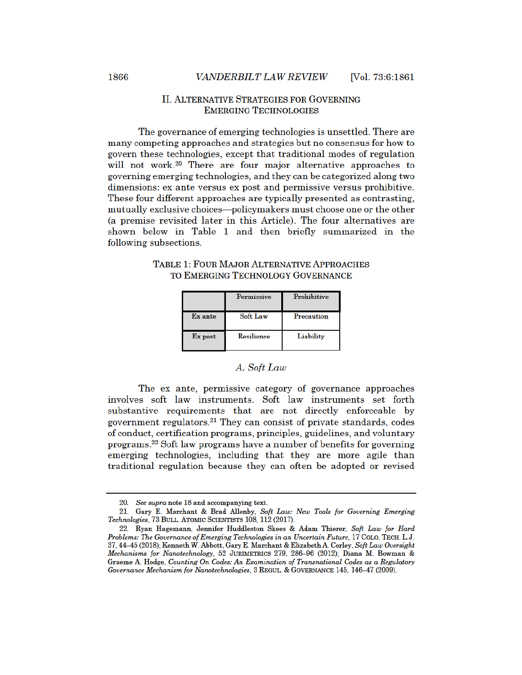## **II. ALTERNATIVE STRATEGIES FOR GOVERNING EMERGING TECHNOLOGIES**

The governance of emerging technologies is unsettled. There are many competing approaches and strategies but no consensus for how to govern these technologies, except that traditional modes of regulation will not work.<sup>20</sup> There are four major alternative approaches to governing emerging technologies, and they can be categorized along two dimensions: ex ante versus ex post and permissive versus prohibitive. These four different approaches are typically presented as contrasting, mutually exclusive choices—policymakers must choose one or the other (a premise revisited later in this Article). The four alternatives are shown below in Table 1 and then briefly summarized in the following subsections.

**TABLE 1: FOUR MAJOR ALTERNATIVE APPROACHES** TO EMERGING TECHNOLOGY GOVERNANCE

|         | Permissive | Prohibitive |
|---------|------------|-------------|
| Ex ante | Soft Law   | Precaution  |
| Ex post | Resilience | Liability   |

### A. Soft Law

The ex ante, permissive category of governance approaches involves soft law instruments. Soft law instruments set forth substantive requirements that are not directly enforceable by government regulators.<sup>21</sup> They can consist of private standards, codes of conduct, certification programs, principles, guidelines, and voluntary programs.<sup>22</sup> Soft law programs have a number of benefits for governing emerging technologies, including that they are more agile than traditional regulation because they can often be adopted or revised

<sup>20.</sup> See supra note 18 and accompanying text.

<sup>21.</sup> Gary E. Marchant & Brad Allenby, Soft Law: New Tools for Governing Emerging Technologies, 73 BULL. ATOMIC SCIENTISTS 108, 112 (2017).

<sup>22.</sup> Ryan Hagemann, Jennifer Huddleston Skees & Adam Thierer, Soft Law for Hard Problems: The Governance of Emerging Technologies in an Uncertain Future, 17 COLO. TECH. L.J. 37, 44-45 (2018); Kenneth W. Abbott, Gary E. Marchant & Elizabeth A. Corley, Soft Law Oversight Mechanisms for Nanotechnology, 52 JURIMETRICS 279, 286-96 (2012); Diana M. Bowman & Graeme A. Hodge, Counting On Codes: An Examination of Transnational Codes as a Regulatory Governance Mechanism for Nanotechnologies, 3 REGUL. & GOVERNANCE 145, 146-47 (2009).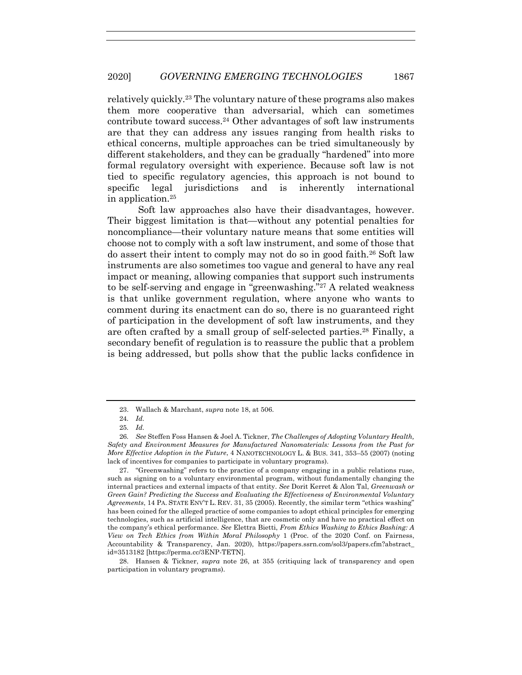relatively quickly.23 The voluntary nature of these programs also makes them more cooperative than adversarial, which can sometimes contribute toward success.24 Other advantages of soft law instruments are that they can address any issues ranging from health risks to ethical concerns, multiple approaches can be tried simultaneously by different stakeholders, and they can be gradually "hardened" into more formal regulatory oversight with experience. Because soft law is not tied to specific regulatory agencies, this approach is not bound to specific legal jurisdictions and is inherently international in application.25

Soft law approaches also have their disadvantages, however. Their biggest limitation is that—without any potential penalties for noncompliance—their voluntary nature means that some entities will choose not to comply with a soft law instrument, and some of those that do assert their intent to comply may not do so in good faith.26 Soft law instruments are also sometimes too vague and general to have any real impact or meaning, allowing companies that support such instruments to be self-serving and engage in "greenwashing."27 A related weakness is that unlike government regulation, where anyone who wants to comment during its enactment can do so, there is no guaranteed right of participation in the development of soft law instruments, and they are often crafted by a small group of self-selected parties.28 Finally, a secondary benefit of regulation is to reassure the public that a problem is being addressed, but polls show that the public lacks confidence in

27. "Greenwashing" refers to the practice of a company engaging in a public relations ruse, such as signing on to a voluntary environmental program, without fundamentally changing the internal practices and external impacts of that entity. *See* Dorit Kerret & Alon Tal, *Greenwash or Green Gain? Predicting the Success and Evaluating the Effectiveness of Environmental Voluntary Agreements*, 14 PA. STATE ENV'T L. REV. 31, 35 (2005). Recently, the similar term "ethics washing" has been coined for the alleged practice of some companies to adopt ethical principles for emerging technologies, such as artificial intelligence, that are cosmetic only and have no practical effect on the company's ethical performance. *See* Elettra Bietti, *From Ethics Washing to Ethics Bashing: A View on Tech Ethics from Within Moral Philosophy* 1 (Proc. of the 2020 Conf. on Fairness, Accountability & Transparency, Jan. 2020), https://papers.ssrn.com/sol3/papers.cfm?abstract\_ id=3513182 [https://perma.cc/3ENP-TETN].

28. Hansen & Tickner, *supra* note 26, at 355 (critiquing lack of transparency and open participation in voluntary programs).

<sup>23.</sup> Wallach & Marchant, *supra* note 18, at 506.

<sup>24</sup>*. Id.*

<sup>25</sup>*. Id.*

<sup>26</sup>*. See* Steffen Foss Hansen & Joel A. Tickner, *The Challenges of Adopting Voluntary Health, Safety and Environment Measures for Manufactured Nanomaterials: Lessons from the Past for More Effective Adoption in the Future*, 4 NANOTECHNOLOGY L. & BUS. 341, 353–55 (2007) (noting lack of incentives for companies to participate in voluntary programs).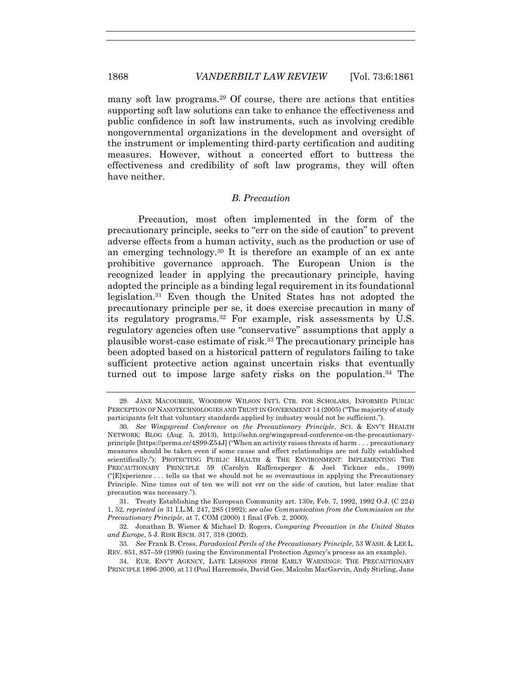many soft law programs.<sup>29</sup> Of course, there are actions that entities supporting soft law solutions can take to enhance the effectiveness and public confidence in soft law instruments, such as involving credible nongovernmental organizations in the development and oversight of the instrument or implementing third-party certification and auditing measures. However, without a concerted effort to buttress the effectiveness and credibility of soft law programs, they will often have neither.

#### *B. Precaution*

Precaution, most often implemented in the form of the precautionary principle, seeks to "err on the side of caution" to prevent adverse effects from a human activity, such as the production or use of an emerging technology.30 It is therefore an example of an ex ante prohibitive governance approach. The European Union is the recognized leader in applying the precautionary principle, having adopted the principle as a binding legal requirement in its foundational legislation.31 Even though the United States has not adopted the precautionary principle per se, it does exercise precaution in many of its regulatory programs.32 For example, risk assessments by U.S. regulatory agencies often use "conservative" assumptions that apply a plausible worst-case estimate of risk.33 The precautionary principle has been adopted based on a historical pattern of regulators failing to take sufficient protective action against uncertain risks that eventually turned out to impose large safety risks on the population.<sup>34</sup> The

<sup>29.</sup> JANE MACOUBRIE, WOODROW WILSON INT'L CTR. FOR SCHOLARS, INFORMED PUBLIC PERCEPTION OF NANOTECHNOLOGIES AND TRUST IN GOVERNMENT 14 (2005) ("The majority of study participants felt that voluntary standards applied by industry would not be sufficient.").

<sup>30</sup>*. See Wingspread Conference on the Precautionary Principle*, SCI. & ENV'T HEALTH NETWORK: BLOG (Aug. 5, 2013), http://sehn.org/wingspread-conference-on-the-precautionaryprinciple [https://perma.cc/4S99-Z54J] ("When an activity raises threats of harm . . . precautionary measures should be taken even if some cause and effect relationships are not fully established scientifically."); PROTECTING PUBLIC HEALTH & THE ENVIRONMENT: IMPLEMENTING THE PRECAUTIONARY PRINCIPLE 59 (Carolyn Raffensperger & Joel Tickner eds., 1999) ("[E]xperience . . . tells us that we should not be so overcautious in applying the Precautionary Principle. Nine times out of ten we will not err on the side of caution, but later realize that precaution was necessary.").

<sup>31.</sup> Treaty Establishing the European Community art. 130r, Feb. 7, 1992, 1992 O.J. (C 224) 1, 52, *reprinted in* 31 I.L.M. 247, 285 (1992); *see also Communication from the Commission on the Precautionary Principle*, at 7, COM (2000) 1 final (Feb. 2, 2000).

<sup>32.</sup> Jonathan B. Wiener & Michael D. Rogers, *Comparing Precaution in the United States and Europe*, 5 J. RISK RSCH. 317, 318 (2002).

<sup>33</sup>*. See* Frank B. Cross, *Paradoxical Perils of the Precautionary Principle*, 53 WASH. & LEE L. REV. 851, 857–59 (1996) (using the Environmental Protection Agency's process as an example).

<sup>34.</sup> EUR. ENV'T AGENCY, LATE LESSONS FROM EARLY WARNINGS: THE PRECAUTIONARY PRINCIPLE 1896-2000, at 11 (Poul Harremoës, David Gee, Malcolm MacGarvin, Andy Stirling, Jane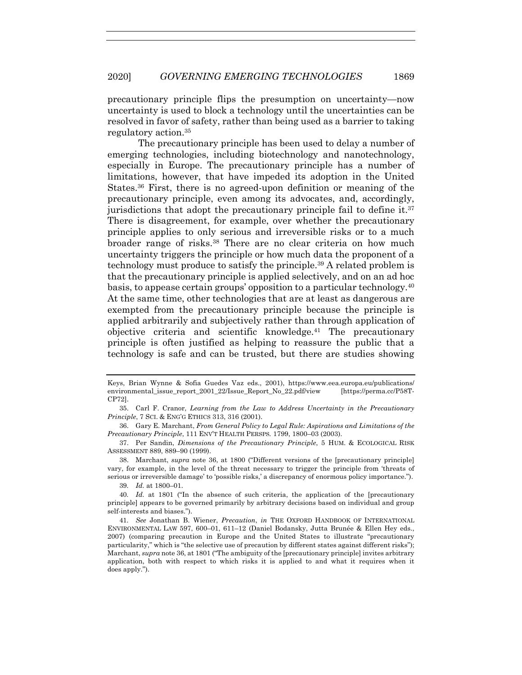precautionary principle flips the presumption on uncertainty—now uncertainty is used to block a technology until the uncertainties can be resolved in favor of safety, rather than being used as a barrier to taking regulatory action.35

The precautionary principle has been used to delay a number of emerging technologies, including biotechnology and nanotechnology, especially in Europe. The precautionary principle has a number of limitations, however, that have impeded its adoption in the United States.36 First, there is no agreed-upon definition or meaning of the precautionary principle, even among its advocates, and, accordingly, jurisdictions that adopt the precautionary principle fail to define it.<sup>37</sup> There is disagreement, for example, over whether the precautionary principle applies to only serious and irreversible risks or to a much broader range of risks.<sup>38</sup> There are no clear criteria on how much uncertainty triggers the principle or how much data the proponent of a technology must produce to satisfy the principle.39 A related problem is that the precautionary principle is applied selectively, and on an ad hoc basis, to appease certain groups' opposition to a particular technology.40 At the same time, other technologies that are at least as dangerous are exempted from the precautionary principle because the principle is applied arbitrarily and subjectively rather than through application of objective criteria and scientific knowledge. <sup>41</sup> The precautionary principle is often justified as helping to reassure the public that a technology is safe and can be trusted, but there are studies showing

37. Per Sandin, *Dimensions of the Precautionary Principle*, 5 HUM. & ECOLOGICAL RISK ASSESSMENT 889, 889–90 (1999).

38. Marchant, *supra* note 36, at 1800 ("Different versions of the [precautionary principle] vary, for example, in the level of the threat necessary to trigger the principle from 'threats of serious or irreversible damage' to 'possible risks,' a discrepancy of enormous policy importance.").

39*. Id.* at 1800–01.

40*. Id.* at 1801 ("In the absence of such criteria, the application of the [precautionary principle] appears to be governed primarily by arbitrary decisions based on individual and group self-interests and biases.").

Keys, Brian Wynne & Sofia Guedes Vaz eds., 2001), https://www.eea.europa.eu/publications/ environmental\_issue\_report\_2001\_22/Issue\_Report\_No\_22.pdf/view [https://perma.cc/P58T-CP72].

<sup>35.</sup> Carl F. Cranor, *Learning from the Law to Address Uncertainty in the Precautionary Principle*, 7 SCI. & ENG'G ETHICS 313, 316 (2001).

<sup>36.</sup> Gary E. Marchant, *From General Policy to Legal Rule: Aspirations and Limitations of the Precautionary Principle*, 111 ENV'T HEALTH PERSPS*.* 1799, 1800–03 (2003).

<sup>41</sup>*. See* Jonathan B. Wiener, *Precaution*, *in* THE OXFORD HANDBOOK OF INTERNATIONAL ENVIRONMENTAL LAW 597, 600–01, 611–12 (Daniel Bodansky, Jutta Brunée & Ellen Hey eds., 2007) (comparing precaution in Europe and the United States to illustrate "precautionary particularity," which is "the selective use of precaution by different states against different risks"); Marchant, *supra* note 36, at 1801 ("The ambiguity of the [precautionary principle] invites arbitrary application, both with respect to which risks it is applied to and what it requires when it does apply.").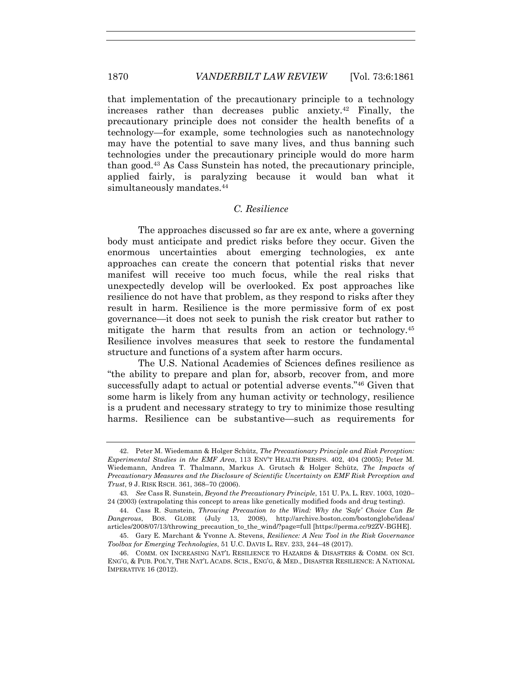that implementation of the precautionary principle to a technology increases rather than decreases public anxiety.42 Finally, the precautionary principle does not consider the health benefits of a technology—for example, some technologies such as nanotechnology may have the potential to save many lives, and thus banning such technologies under the precautionary principle would do more harm than good.43 As Cass Sunstein has noted, the precautionary principle, applied fairly, is paralyzing because it would ban what it simultaneously mandates.<sup>44</sup>

## *C. Resilience*

The approaches discussed so far are ex ante, where a governing body must anticipate and predict risks before they occur. Given the enormous uncertainties about emerging technologies, ex ante approaches can create the concern that potential risks that never manifest will receive too much focus, while the real risks that unexpectedly develop will be overlooked. Ex post approaches like resilience do not have that problem, as they respond to risks after they result in harm. Resilience is the more permissive form of ex post governance—it does not seek to punish the risk creator but rather to mitigate the harm that results from an action or technology.45 Resilience involves measures that seek to restore the fundamental structure and functions of a system after harm occurs.

The U.S. National Academies of Sciences defines resilience as "the ability to prepare and plan for, absorb, recover from, and more successfully adapt to actual or potential adverse events."46 Given that some harm is likely from any human activity or technology, resilience is a prudent and necessary strategy to try to minimize those resulting harms. Resilience can be substantive—such as requirements for

<sup>42.</sup> Peter M. Wiedemann & Holger Schütz, *The Precautionary Principle and Risk Perception: Experimental Studies in the EMF Area*, 113 ENV'T HEALTH PERSPS. 402, 404 (2005); Peter M. Wiedemann, Andrea T. Thalmann, Markus A. Grutsch & Holger Schütz, *The Impacts of Precautionary Measures and the Disclosure of Scientific Uncertainty on EMF Risk Perception and Trust*, 9 J. RISK RSCH. 361, 368–70 (2006).

<sup>43</sup>*. See* Cass R. Sunstein, *Beyond the Precautionary Principle*, 151 U. PA. L. REV. 1003, 1020– 24 (2003) (extrapolating this concept to areas like genetically modified foods and drug testing).

<sup>44.</sup> Cass R. Sunstein, *Throwing Precaution to the Wind: Why the 'Safe' Choice Can Be Dangerous*, BOS. GLOBE (July 13, 2008), http://archive.boston.com/bostonglobe/ideas/ articles/2008/07/13/throwing\_precaution\_to\_the\_wind/?page=full [https://perma.cc/92ZV-BGHE].

<sup>45.</sup> Gary E. Marchant & Yvonne A. Stevens, *Resilience: A New Tool in the Risk Governance Toolbox for Emerging Technologies*, 51 U.C. DAVIS L. REV. 233, 244–48 (2017).

<sup>46.</sup> COMM. ON INCREASING NAT'L RESILIENCE TO HAZARDS & DISASTERS & COMM. ON SCI. ENG'G, & PUB. POL'Y, THE NAT'L ACADS. SCIS., ENG'G, & MED., DISASTER RESILIENCE: A NATIONAL IMPERATIVE 16 (2012).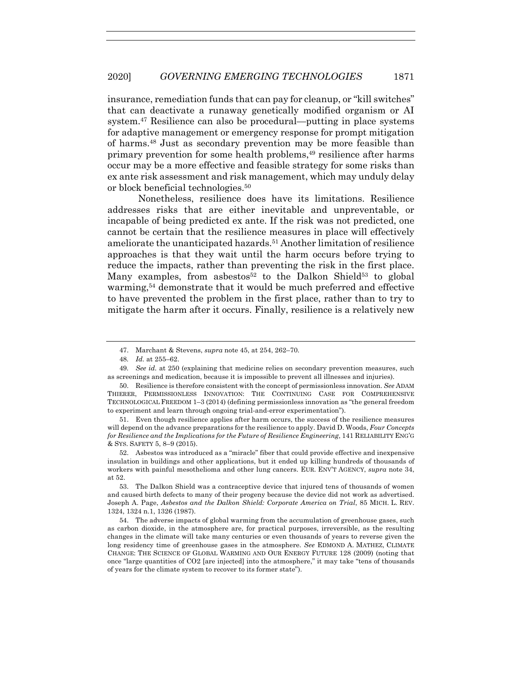insurance, remediation funds that can pay for cleanup, or "kill switches" that can deactivate a runaway genetically modified organism or AI system.47 Resilience can also be procedural—putting in place systems for adaptive management or emergency response for prompt mitigation of harms.48 Just as secondary prevention may be more feasible than primary prevention for some health problems,49 resilience after harms occur may be a more effective and feasible strategy for some risks than ex ante risk assessment and risk management, which may unduly delay or block beneficial technologies.50

Nonetheless, resilience does have its limitations. Resilience addresses risks that are either inevitable and unpreventable, or incapable of being predicted ex ante. If the risk was not predicted, one cannot be certain that the resilience measures in place will effectively ameliorate the unanticipated hazards.51 Another limitation of resilience approaches is that they wait until the harm occurs before trying to reduce the impacts, rather than preventing the risk in the first place. Many examples, from asbestos<sup>52</sup> to the Dalkon Shield<sup>53</sup> to global warming, <sup>54</sup> demonstrate that it would be much preferred and effective to have prevented the problem in the first place, rather than to try to mitigate the harm after it occurs. Finally, resilience is a relatively new

<sup>47.</sup> Marchant & Stevens, *supra* note 45, at 254, 262–70.

<sup>48</sup>*. Id.* at 255–62.

<sup>49</sup>*. See id.* at 250 (explaining that medicine relies on secondary prevention measures, such as screenings and medication, because it is impossible to prevent all illnesses and injuries).

<sup>50.</sup> Resilience is therefore consistent with the concept of permissionless innovation. *See* ADAM THIERER, PERMISSIONLESS INNOVATION: THE CONTINUING CASE FOR COMPREHENSIVE TECHNOLOGICAL FREEDOM 1–3 (2014) (defining permissionless innovation as "the general freedom to experiment and learn through ongoing trial-and-error experimentation").

<sup>51.</sup> Even though resilience applies after harm occurs, the success of the resilience measures will depend on the advance preparations for the resilience to apply. David D. Woods, *Four Concepts for Resilience and the Implications for the Future of Resilience Engineering*, 141 RELIABILITY ENG'G & SYS. SAFETY 5, 8–9 (2015).

<sup>52.</sup> Asbestos was introduced as a "miracle" fiber that could provide effective and inexpensive insulation in buildings and other applications, but it ended up killing hundreds of thousands of workers with painful mesothelioma and other lung cancers. EUR. ENV'T AGENCY, *supra* note 34, at 52.

<sup>53.</sup> The Dalkon Shield was a contraceptive device that injured tens of thousands of women and caused birth defects to many of their progeny because the device did not work as advertised. Joseph A. Page, *Asbestos and the Dalkon Shield: Corporate America on Trial*, 85 MICH. L. REV. 1324, 1324 n.1, 1326 (1987).

<sup>54.</sup> The adverse impacts of global warming from the accumulation of greenhouse gases, such as carbon dioxide, in the atmosphere are, for practical purposes, irreversible, as the resulting changes in the climate will take many centuries or even thousands of years to reverse given the long residency time of greenhouse gases in the atmosphere. *See* EDMOND A. MATHEZ, CLIMATE CHANGE: THE SCIENCE OF GLOBAL WARMING AND OUR ENERGY FUTURE 128 (2009) (noting that once "large quantities of CO2 [are injected] into the atmosphere," it may take "tens of thousands of years for the climate system to recover to its former state").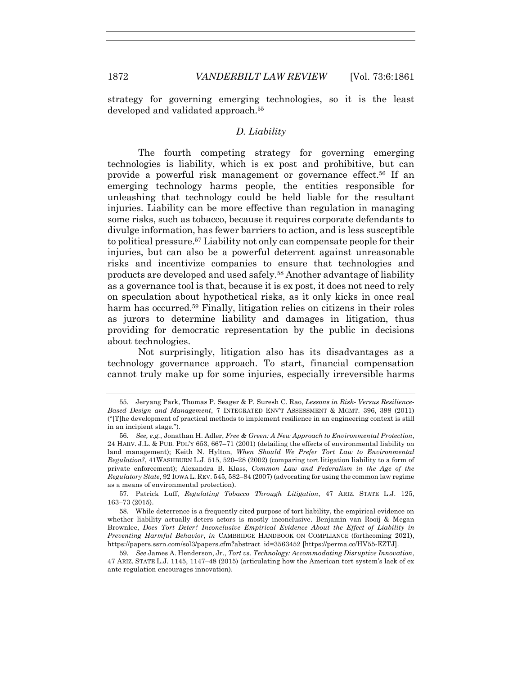strategy for governing emerging technologies, so it is the least developed and validated approach.55

## *D. Liability*

The fourth competing strategy for governing emerging technologies is liability, which is ex post and prohibitive, but can provide a powerful risk management or governance effect.56 If an emerging technology harms people, the entities responsible for unleashing that technology could be held liable for the resultant injuries. Liability can be more effective than regulation in managing some risks, such as tobacco, because it requires corporate defendants to divulge information, has fewer barriers to action, and is less susceptible to political pressure.57 Liability not only can compensate people for their injuries, but can also be a powerful deterrent against unreasonable risks and incentivize companies to ensure that technologies and products are developed and used safely.58 Another advantage of liability as a governance tool is that, because it is ex post, it does not need to rely on speculation about hypothetical risks, as it only kicks in once real harm has occurred.<sup>59</sup> Finally, litigation relies on citizens in their roles as jurors to determine liability and damages in litigation, thus providing for democratic representation by the public in decisions about technologies.

Not surprisingly, litigation also has its disadvantages as a technology governance approach. To start, financial compensation cannot truly make up for some injuries, especially irreversible harms

<sup>55.</sup> Jeryang Park, Thomas P. Seager & P. Suresh C. Rao, *Lessons in Risk- Versus Resilience-Based Design and Management*, 7 INTEGRATED ENV'T ASSESSMENT & MGMT. 396, 398 (2011) ("[T]he development of practical methods to implement resilience in an engineering context is still in an incipient stage.").

<sup>56</sup>*. See, e.g.*, Jonathan H. Adler, *Free & Green: A New Approach to Environmental Protection*, 24 HARV. J.L. & PUB. POL'Y 653, 667–71 (2001) (detailing the effects of environmental liability on land management); Keith N. Hylton, *When Should We Prefer Tort Law to Environmental Regulation?*, 41WASHBURN L.J. 515, 520–28 (2002) (comparing tort litigation liability to a form of private enforcement); Alexandra B. Klass, *Common Law and Federalism in the Age of the Regulatory State*, 92 IOWA L. REV. 545, 582–84 (2007) (advocating for using the common law regime as a means of environmental protection).

<sup>57.</sup> Patrick Luff, *Regulating Tobacco Through Litigation*, 47 ARIZ. STATE L.J. 125, 163–73 (2015).

<sup>58.</sup> While deterrence is a frequently cited purpose of tort liability, the empirical evidence on whether liability actually deters actors is mostly inconclusive. Benjamin van Rooij & Megan Brownlee, *Does Tort Deter? Inconclusive Empirical Evidence About the Effect of Liability in Preventing Harmful Behavior*, *in* CAMBRIDGE HANDBOOK ON COMPLIANCE (forthcoming 2021), https://papers.ssrn.com/sol3/papers.cfm?abstract\_id=3563452 [https://perma.cc/HV55-EZTJ].

<sup>59</sup>*. See* James A. Henderson, Jr., *Tort vs. Technology: Accommodating Disruptive Innovation*, 47 ARIZ. STATE L.J. 1145, 1147–48 (2015) (articulating how the American tort system's lack of ex ante regulation encourages innovation).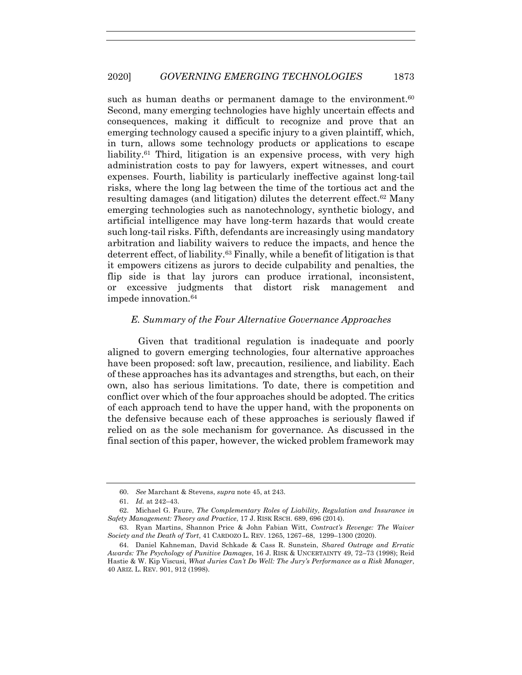such as human deaths or permanent damage to the environment.<sup>60</sup> Second, many emerging technologies have highly uncertain effects and consequences, making it difficult to recognize and prove that an emerging technology caused a specific injury to a given plaintiff, which, in turn, allows some technology products or applications to escape liability.<sup>61</sup> Third, litigation is an expensive process, with very high administration costs to pay for lawyers, expert witnesses, and court expenses. Fourth, liability is particularly ineffective against long-tail risks, where the long lag between the time of the tortious act and the resulting damages (and litigation) dilutes the deterrent effect.62 Many emerging technologies such as nanotechnology, synthetic biology, and artificial intelligence may have long-term hazards that would create such long-tail risks. Fifth, defendants are increasingly using mandatory arbitration and liability waivers to reduce the impacts, and hence the deterrent effect, of liability.63 Finally, while a benefit of litigation is that it empowers citizens as jurors to decide culpability and penalties, the flip side is that lay jurors can produce irrational, inconsistent, or excessive judgments that distort risk management and impede innovation.64

## *E. Summary of the Four Alternative Governance Approaches*

Given that traditional regulation is inadequate and poorly aligned to govern emerging technologies, four alternative approaches have been proposed: soft law, precaution, resilience, and liability. Each of these approaches has its advantages and strengths, but each, on their own, also has serious limitations. To date, there is competition and conflict over which of the four approaches should be adopted. The critics of each approach tend to have the upper hand, with the proponents on the defensive because each of these approaches is seriously flawed if relied on as the sole mechanism for governance. As discussed in the final section of this paper, however, the wicked problem framework may

<sup>60.</sup> *See* Marchant & Stevens, *supra* note 45, at 243.

<sup>61.</sup> *Id.* at 242–43.

<sup>62.</sup> Michael G. Faure, *The Complementary Roles of Liability, Regulation and Insurance in Safety Management: Theory and Practice*, 17 J. RISK RSCH. 689, 696 (2014).

<sup>63.</sup> Ryan Martins, Shannon Price & John Fabian Witt, *Contract's Revenge: The Waiver Society and the Death of Tort*, 41 CARDOZO L. REV. 1265, 1267–68, 1299–1300 (2020).

<sup>64.</sup> Daniel Kahneman, David Schkade & Cass R. Sunstein, *Shared Outrage and Erratic Awards: The Psychology of Punitive Damages*, 16 J. RISK & UNCERTAINTY 49, 72–73 (1998); Reid Hastie & W. Kip Viscusi, *What Juries Can't Do Well: The Jury's Performance as a Risk Manager*, 40 ARIZ. L. REV. 901, 912 (1998).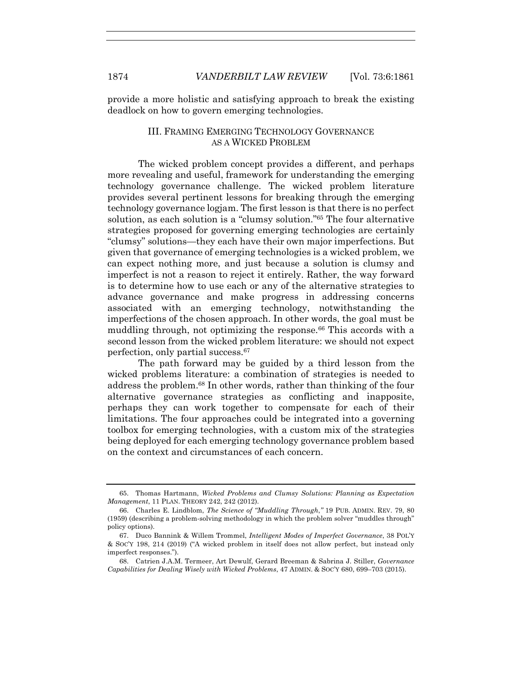provide a more holistic and satisfying approach to break the existing deadlock on how to govern emerging technologies.

#### III. FRAMING EMERGING TECHNOLOGY GOVERNANCE AS A WICKED PROBLEM

The wicked problem concept provides a different, and perhaps more revealing and useful, framework for understanding the emerging technology governance challenge. The wicked problem literature provides several pertinent lessons for breaking through the emerging technology governance logjam. The first lesson is that there is no perfect solution, as each solution is a "clumsy solution."65 The four alternative strategies proposed for governing emerging technologies are certainly "clumsy" solutions—they each have their own major imperfections. But given that governance of emerging technologies is a wicked problem, we can expect nothing more, and just because a solution is clumsy and imperfect is not a reason to reject it entirely. Rather, the way forward is to determine how to use each or any of the alternative strategies to advance governance and make progress in addressing concerns associated with an emerging technology, notwithstanding the imperfections of the chosen approach. In other words, the goal must be muddling through, not optimizing the response.<sup>66</sup> This accords with a second lesson from the wicked problem literature: we should not expect perfection, only partial success.67

The path forward may be guided by a third lesson from the wicked problems literature: a combination of strategies is needed to address the problem.68 In other words, rather than thinking of the four alternative governance strategies as conflicting and inapposite, perhaps they can work together to compensate for each of their limitations. The four approaches could be integrated into a governing toolbox for emerging technologies, with a custom mix of the strategies being deployed for each emerging technology governance problem based on the context and circumstances of each concern.

<sup>65.</sup> Thomas Hartmann, *Wicked Problems and Clumsy Solutions: Planning as Expectation Management*, 11 PLAN. THEORY 242, 242 (2012).

<sup>66.</sup> Charles E. Lindblom, *The Science of "Muddling Through*,*"* 19 PUB. ADMIN. REV. 79, 80 (1959) (describing a problem-solving methodology in which the problem solver "muddles through" policy options).

<sup>67.</sup> Duco Bannink & Willem Trommel, *Intelligent Modes of Imperfect Governance*, 38 POL'Y & SOC'Y 198, 214 (2019) ("A wicked problem in itself does not allow perfect, but instead only imperfect responses.").

<sup>68.</sup> Catrien J.A.M. Termeer, Art Dewulf, Gerard Breeman & Sabrina J. Stiller, *Governance Capabilities for Dealing Wisely with Wicked Problems*, 47 ADMIN. & SOC'Y 680, 699–703 (2015).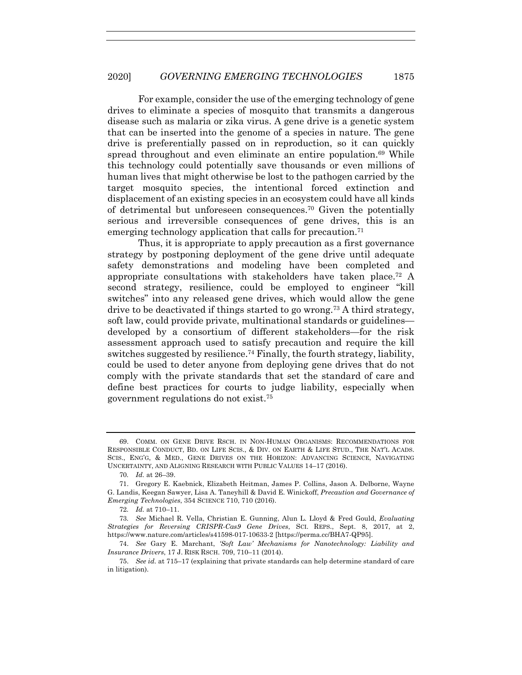For example, consider the use of the emerging technology of gene drives to eliminate a species of mosquito that transmits a dangerous disease such as malaria or zika virus. A gene drive is a genetic system that can be inserted into the genome of a species in nature. The gene drive is preferentially passed on in reproduction, so it can quickly spread throughout and even eliminate an entire population.<sup>69</sup> While this technology could potentially save thousands or even millions of human lives that might otherwise be lost to the pathogen carried by the target mosquito species, the intentional forced extinction and displacement of an existing species in an ecosystem could have all kinds of detrimental but unforeseen consequences.<sup>70</sup> Given the potentially serious and irreversible consequences of gene drives, this is an emerging technology application that calls for precaution.<sup>71</sup>

Thus, it is appropriate to apply precaution as a first governance strategy by postponing deployment of the gene drive until adequate safety demonstrations and modeling have been completed and appropriate consultations with stakeholders have taken place.72 A second strategy, resilience, could be employed to engineer "kill switches" into any released gene drives, which would allow the gene drive to be deactivated if things started to go wrong.<sup>73</sup> A third strategy, soft law, could provide private, multinational standards or guidelines developed by a consortium of different stakeholders—for the risk assessment approach used to satisfy precaution and require the kill switches suggested by resilience.<sup>74</sup> Finally, the fourth strategy, liability, could be used to deter anyone from deploying gene drives that do not comply with the private standards that set the standard of care and define best practices for courts to judge liability, especially when government regulations do not exist.75

<sup>69.</sup> COMM. ON GENE DRIVE RSCH. IN NON-HUMAN ORGANISMS: RECOMMENDATIONS FOR RESPONSIBLE CONDUCT, BD. ON LIFE SCIS., & DIV. ON EARTH & LIFE STUD., THE NAT'L ACADS. SCIS., ENG'G, & MED., GENE DRIVES ON THE HORIZON: ADVANCING SCIENCE, NAVIGATING UNCERTAINTY, AND ALIGNING RESEARCH WITH PUBLIC VALUES 14–17 (2016).

<sup>70</sup>*. Id.* at 26–39.

<sup>71.</sup> Gregory E. Kaebnick, Elizabeth Heitman, James P. Collins, Jason A. Delborne, Wayne G. Landis, Keegan Sawyer, Lisa A. Taneyhill & David E. Winickoff, *Precaution and Governance of Emerging Technologies*, 354 SCIENCE 710, 710 (2016).

<sup>72</sup>*. Id.* at 710–11.

<sup>73</sup>*. See* Michael R. Vella, Christian E. Gunning, Alun L. Lloyd & Fred Gould, *Evaluating Strategies for Reversing CRISPR-Cas9 Gene Drives*, SCI. REPS., Sept. 8, 2017, at 2, https://www.nature.com/articles/s41598-017-10633-2 [https://perma.cc/BHA7-QP95].

<sup>74.</sup> *See* Gary E. Marchant, *'Soft Law' Mechanisms for Nanotechnology: Liability and Insurance Drivers*, 17 J. RISK RSCH. 709, 710–11 (2014).

<sup>75.</sup> *See id.* at 715–17 (explaining that private standards can help determine standard of care in litigation).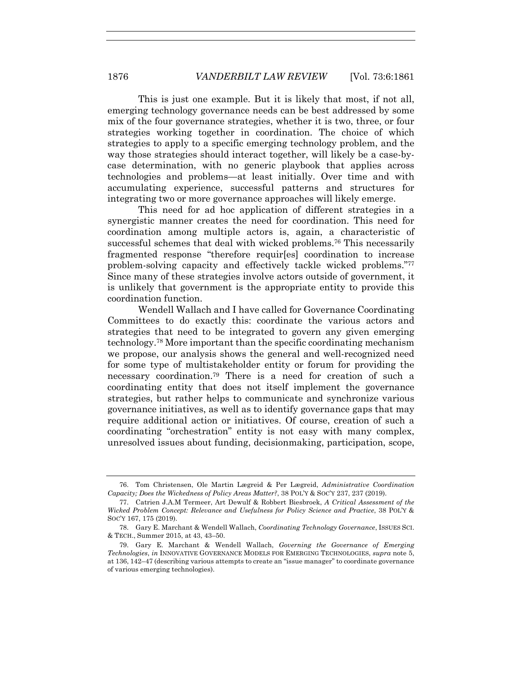This is just one example. But it is likely that most, if not all, emerging technology governance needs can be best addressed by some mix of the four governance strategies, whether it is two, three, or four strategies working together in coordination. The choice of which strategies to apply to a specific emerging technology problem, and the way those strategies should interact together, will likely be a case-bycase determination, with no generic playbook that applies across technologies and problems—at least initially. Over time and with accumulating experience, successful patterns and structures for integrating two or more governance approaches will likely emerge.

This need for ad hoc application of different strategies in a synergistic manner creates the need for coordination. This need for coordination among multiple actors is, again, a characteristic of successful schemes that deal with wicked problems.<sup>76</sup> This necessarily fragmented response "therefore requir[es] coordination to increase problem-solving capacity and effectively tackle wicked problems."77 Since many of these strategies involve actors outside of government, it is unlikely that government is the appropriate entity to provide this coordination function.

Wendell Wallach and I have called for Governance Coordinating Committees to do exactly this: coordinate the various actors and strategies that need to be integrated to govern any given emerging technology.78 More important than the specific coordinating mechanism we propose, our analysis shows the general and well-recognized need for some type of multistakeholder entity or forum for providing the necessary coordination.79 There is a need for creation of such a coordinating entity that does not itself implement the governance strategies, but rather helps to communicate and synchronize various governance initiatives, as well as to identify governance gaps that may require additional action or initiatives. Of course, creation of such a coordinating "orchestration" entity is not easy with many complex, unresolved issues about funding, decisionmaking, participation, scope,

<sup>76.</sup> Tom Christensen, Ole Martin Lægreid & Per Lægreid, *Administrative Coordination Capacity; Does the Wickedness of Policy Areas Matter?*, 38 POL'Y & SOC'Y 237, 237 (2019).

<sup>77.</sup> Catrien J.A.M Termeer, Art Dewulf & Robbert Biesbroek, *A Critical Assessment of the Wicked Problem Concept: Relevance and Usefulness for Policy Science and Practice*, 38 POL'Y & SOC'Y 167, 175 (2019).

<sup>78.</sup> Gary E. Marchant & Wendell Wallach, *Coordinating Technology Governance*, ISSUES SCI. & TECH., Summer 2015, at 43, 43–50.

<sup>79.</sup> Gary E. Marchant & Wendell Wallach, *Governing the Governance of Emerging Technologies*, *in* INNOVATIVE GOVERNANCE MODELS FOR EMERGING TECHNOLOGIES, *supra* note 5, at 136, 142–47 (describing various attempts to create an "issue manager" to coordinate governance of various emerging technologies).